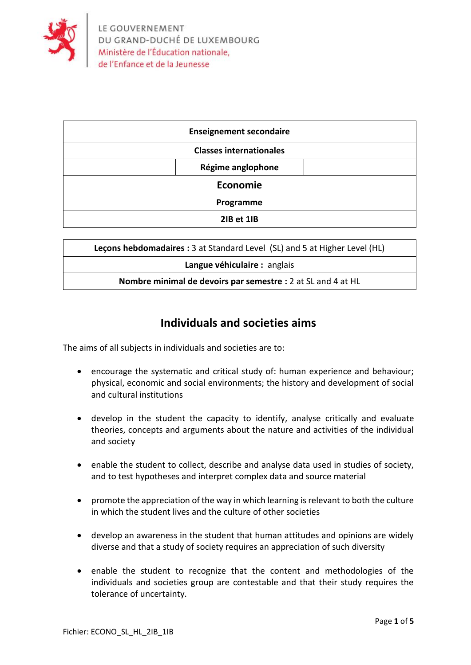

| <b>Enseignement secondaire</b> |                   |  |  |  |  |
|--------------------------------|-------------------|--|--|--|--|
| <b>Classes internationales</b> |                   |  |  |  |  |
|                                | Régime anglophone |  |  |  |  |
| Economie                       |                   |  |  |  |  |
| Programme                      |                   |  |  |  |  |
|                                | 2IB et 1IB        |  |  |  |  |

| Lecons hebdomadaires: 3 at Standard Level (SL) and 5 at Higher Level (HL) |  |  |  |  |
|---------------------------------------------------------------------------|--|--|--|--|
| Langue véhiculaire : anglais                                              |  |  |  |  |
| Nombre minimal de devoirs par semestre : 2 at SL and 4 at HL              |  |  |  |  |

## **Individuals and societies aims**

The aims of all subjects in individuals and societies are to:

- encourage the systematic and critical study of: human experience and behaviour; physical, economic and social environments; the history and development of social and cultural institutions
- develop in the student the capacity to identify, analyse critically and evaluate theories, concepts and arguments about the nature and activities of the individual and society
- enable the student to collect, describe and analyse data used in studies of society, and to test hypotheses and interpret complex data and source material
- promote the appreciation of the way in which learning is relevant to both the culture in which the student lives and the culture of other societies
- develop an awareness in the student that human attitudes and opinions are widely diverse and that a study of society requires an appreciation of such diversity
- enable the student to recognize that the content and methodologies of the individuals and societies group are contestable and that their study requires the tolerance of uncertainty.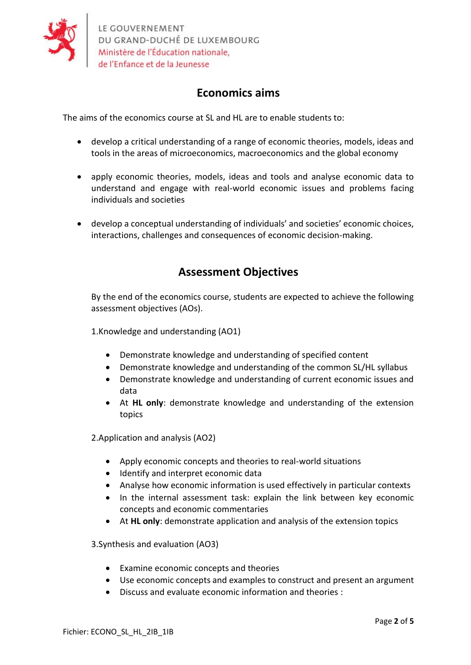

# **Economics aims**

The aims of the economics course at SL and HL are to enable students to:

- develop a critical understanding of a range of economic theories, models, ideas and tools in the areas of microeconomics, macroeconomics and the global economy
- apply economic theories, models, ideas and tools and analyse economic data to understand and engage with real-world economic issues and problems facing individuals and societies
- develop a conceptual understanding of individuals' and societies' economic choices, interactions, challenges and consequences of economic decision-making.

## **Assessment Objectives**

By the end of the economics course, students are expected to achieve the following assessment objectives (AOs).

1.Knowledge and understanding (AO1)

- Demonstrate knowledge and understanding of specified content
- Demonstrate knowledge and understanding of the common SL/HL syllabus
- Demonstrate knowledge and understanding of current economic issues and data
- At **HL only**: demonstrate knowledge and understanding of the extension topics

2.Application and analysis (AO2)

- Apply economic concepts and theories to real-world situations
- Identify and interpret economic data
- Analyse how economic information is used effectively in particular contexts
- In the internal assessment task: explain the link between key economic concepts and economic commentaries
- At **HL only**: demonstrate application and analysis of the extension topics

3.Synthesis and evaluation (AO3)

- Examine economic concepts and theories
- Use economic concepts and examples to construct and present an argument
- Discuss and evaluate economic information and theories :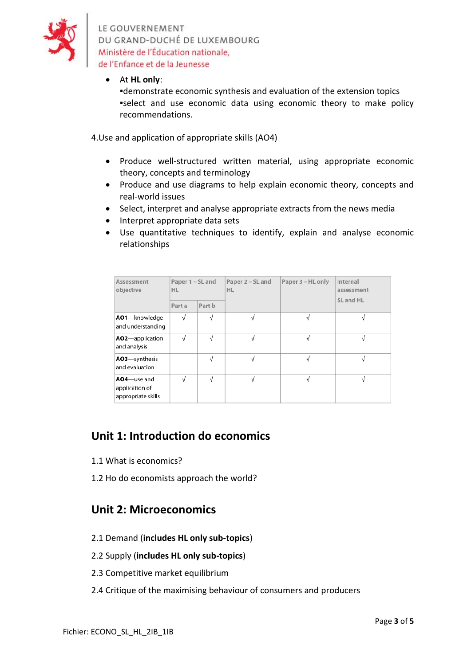

LE GOUVERNEMENT DU GRAND-DUCHÉ DE LUXEMBOURG Ministère de l'Éducation nationale, de l'Enfance et de la Jeunesse

#### • At **HL only**:

▪demonstrate economic synthesis and evaluation of the extension topics ▪select and use economic data using economic theory to make policy recommendations.

4.Use and application of appropriate skills (AO4)

- Produce well-structured written material, using appropriate economic theory, concepts and terminology
- Produce and use diagrams to help explain economic theory, concepts and real-world issues
- Select, interpret and analyse appropriate extracts from the news media
- Interpret appropriate data sets
- Use quantitative techniques to identify, explain and analyse economic relationships

| Assessment<br>objective                             | Paper 1 – SL and<br><b>HL</b> |            | Paper 2 – SL and<br><b>HL</b> | Paper 3 - HL only | Internal<br>assessment<br>SL and HL |
|-----------------------------------------------------|-------------------------------|------------|-------------------------------|-------------------|-------------------------------------|
|                                                     | Part a                        | Part b     |                               |                   |                                     |
| AO1-knowledge<br>and understanding                  | $\sqrt{ }$                    | $\sqrt{}$  |                               | $\sqrt{ }$        |                                     |
| AO2-application<br>and analysis                     | $\sqrt{}$                     | $\sqrt{}$  | V                             | $\sqrt{}$         |                                     |
| AO3-synthesis<br>and evaluation                     |                               | √          |                               | V                 |                                     |
| AO4-use and<br>application of<br>appropriate skills | $\sqrt{ }$                    | $\sqrt{ }$ |                               | V                 |                                     |

### **Unit 1: Introduction do economics**

- 1.1 What is economics?
- 1.2 Ho do economists approach the world?

### **Unit 2: Microeconomics**

2.1 Demand (**includes HL only sub-topics**)

#### 2.2 Supply (**includes HL only sub-topics**)

- 2.3 Competitive market equilibrium
- 2.4 Critique of the maximising behaviour of consumers and producers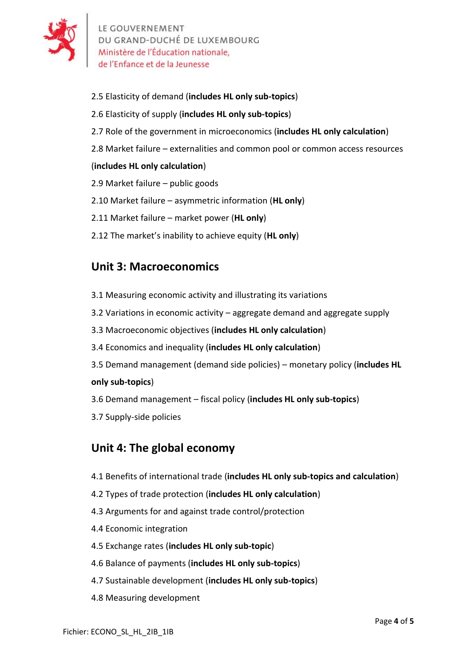

- 2.5 Elasticity of demand (**includes HL only sub-topics**)
- 2.6 Elasticity of supply (**includes HL only sub-topics**)
- 2.7 Role of the government in microeconomics (**includes HL only calculation**)
- 2.8 Market failure externalities and common pool or common access resources

### (**includes HL only calculation**)

- 2.9 Market failure public goods
- 2.10 Market failure asymmetric information (**HL only**)
- 2.11 Market failure market power (**HL only**)
- 2.12 The market's inability to achieve equity (**HL only**)

# **Unit 3: Macroeconomics**

- 3.1 Measuring economic activity and illustrating its variations
- 3.2 Variations in economic activity aggregate demand and aggregate supply
- 3.3 Macroeconomic objectives (**includes HL only calculation**)
- 3.4 Economics and inequality (**includes HL only calculation**)
- 3.5 Demand management (demand side policies) monetary policy (**includes HL only sub-topics**)
- 3.6 Demand management fiscal policy (**includes HL only sub-topics**)
- 3.7 Supply-side policies

### **Unit 4: The global economy**

- 4.1 Benefits of international trade (**includes HL only sub-topics and calculation**)
- 4.2 Types of trade protection (**includes HL only calculation**)
- 4.3 Arguments for and against trade control/protection
- 4.4 Economic integration
- 4.5 Exchange rates (**includes HL only sub-topic**)
- 4.6 Balance of payments (**includes HL only sub-topics**)
- 4.7 Sustainable development (**includes HL only sub-topics**)
- 4.8 Measuring development